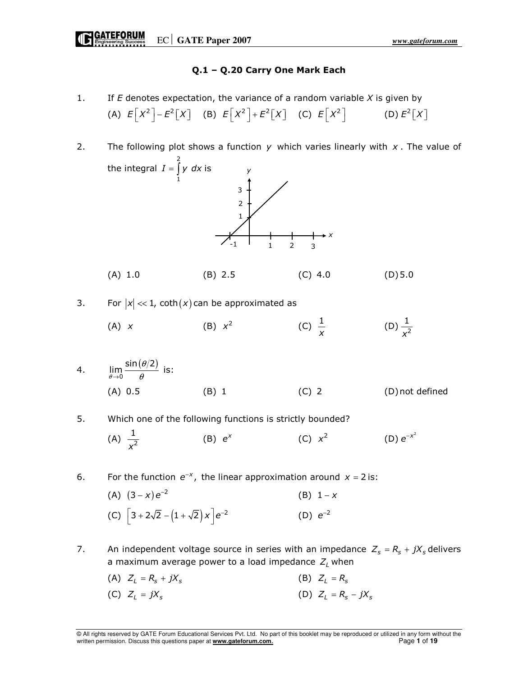# Q.1 – Q.20 Carry One Mark Each

- 1. If  $E$  denotes expectation, the variance of a random variable  $X$  is given by (A)  $E[X^2]-E^2[X]$  (B)  $E[X^2]+E^2[X]$  (C)  $E[X^2]$  (D)  $E^2[X]$
- 2. The following plot shows a function y which varies linearly with  $x$ . The value of the integral 2 1  $I = \int y \, dx$  is (A) 1.0 (B) 2.5 (C) 4.0 (D) 5.0 3. For  $|x| \ll 1$ , coth $(x)$  can be approximated as (A) x (B)  $x^2$ (C)  $\frac{1}{x}$ (D)  $\frac{1}{\sqrt{2}}$ x 4.  $\lim_{\theta \to 0} \frac{\sin(\theta/2)}{\theta}$ θ  $\lim_{\epsilon \to 0} \frac{\sin(\epsilon/2)}{\theta}$  is: (A) 0.5 (B) 1 (C) 2 (D) not defined 5. Which one of the following functions is strictly bounded? (A)  $\frac{1}{r^2}$ x (B)  $e^{x}$  (C)  $x^{2}$  $e^{-x}$ 6. For the function  $e^{-x}$ , the linear approximation around  $x = 2$  is: (A)  $(3 - x) e^{-2}$  $(B) 1 - x$ 1 2 3 x 1 2 3 y -1
- (C)  $\left[3+2\sqrt{2}-(1+\sqrt{2})x\right]e^{-2}$  (D)  $e^{-2}$  $(D) e^{-2}$
- 7. An independent voltage source in series with an impedance  $Z_s = R_s + jX_s$  delivers a maximum average power to a load impedance  $Z_l$  when
	-
	- (C)  $Z_i = jX_s$  (D)  $Z_i = R_s jX_s$

(A)  $Z_L = R_s + jX_s$  (B)  $Z_L = R_s$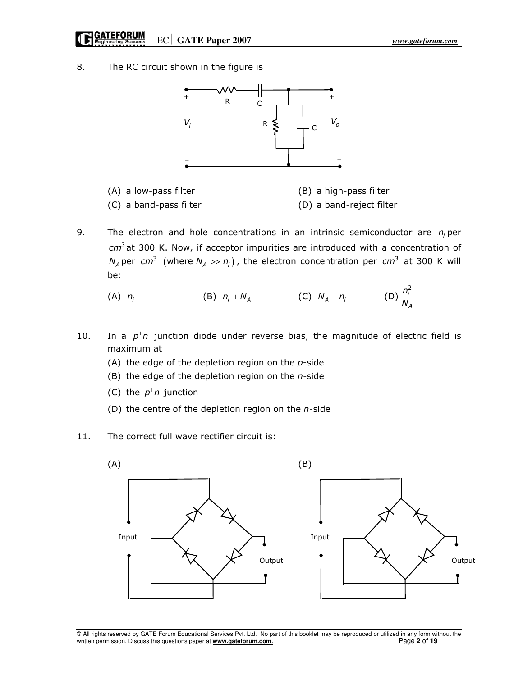8. The RC circuit shown in the figure is



- (A) a low-pass filter (B) a high-pass filter (C) a band-pass filter (D) a band-reject filter
- 9. The electron and hole concentrations in an intrinsic semiconductor are  $n_i$  per  $cm<sup>3</sup>$ at 300 K. Now, if acceptor impurities are introduced with a concentration of  $N_A$ per  $cm^3$  (where  $N_A >> n_i$ ), the electron concentration per  $cm^3$  at 300 K will be:

(A) 
$$
n_i
$$
 (B)  $n_i + N_A$  (C)  $N_A - n_i$  (D)  $\frac{n_i^2}{N_A}$ 

- 10. In a  $p^{\dagger}n$  junction diode under reverse bias, the magnitude of electric field is maximum at
	- (A) the edge of the depletion region on the  $p$ -side
	- (B) the edge of the depletion region on the  $n$ -side
- (C) the  $p^{\dagger}n$  junction
	- (D) the centre of the depletion region on the  $n$ -side
- 11. The correct full wave rectifier circuit is:



<sup>©</sup> All rights reserved by GATE Forum Educational Services Pvt. Ltd. No part of this booklet may be reproduced or utilized in any form without the written permission. Discuss this questions paper at **www.gateforum.com**. Page **2** of **19**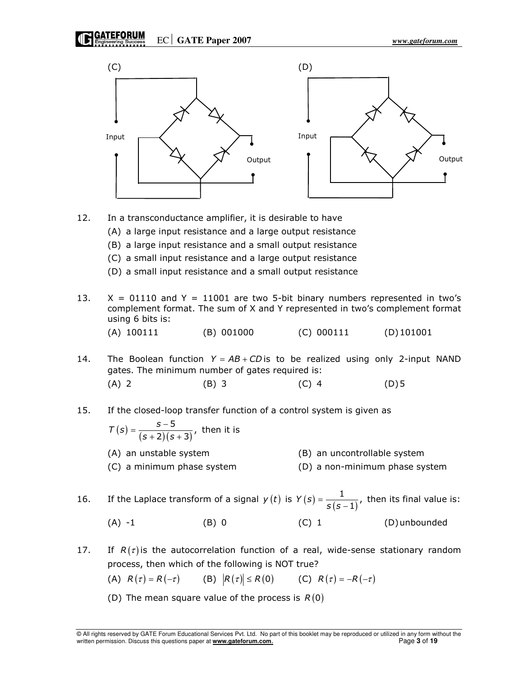GATEFORUM EC GATE Paper 2007 *www.gateforum.com* 



- 12. In a transconductance amplifier, it is desirable to have
	- (A) a large input resistance and a large output resistance
	- (B) a large input resistance and a small output resistance
	- (C) a small input resistance and a large output resistance
	- (D) a small input resistance and a small output resistance
- 13.  $X = 01110$  and  $Y = 11001$  are two 5-bit binary numbers represented in two's complement format. The sum of X and Y represented in two's complement format using 6 bits is:

(A) 
$$
100111
$$
 (B)  $001000$  (C)  $000111$  (D)  $101001$ 

- 14. The Boolean function  $Y = AB + CD$  is to be realized using only 2-input NAND gates. The minimum number of gates required is: (A) 2 (B) 3 (C) 4 (D) 5
- 15. If the closed-loop transfer function of a control system is given as

$$
T(s) = \frac{s-5}{(s+2)(s+3)}
$$
, then it is  
(A) an unstable system  
(B) an uncontrollable system

(C) a minimum phase system (D) a non-minimum phase system

16. If the Laplace transform of a signal  $y(t)$  is  $Y(s) = \frac{1}{s(s-1)}$  $=\frac{1}{s(s-1)}$ , then its final value is: (A)  $-1$  (B) 0 (C) 1 (D) unbounded

17. If  $R(\tau)$  is the autocorrelation function of a real, wide-sense stationary random process, then which of the following is NOT true?

(A) 
$$
R(\tau) = R(-\tau)
$$
 (B)  $|R(\tau)| \le R(0)$  (C)  $R(\tau) = -R(-\tau)$ 

(D) The mean square value of the process is  $R(0)$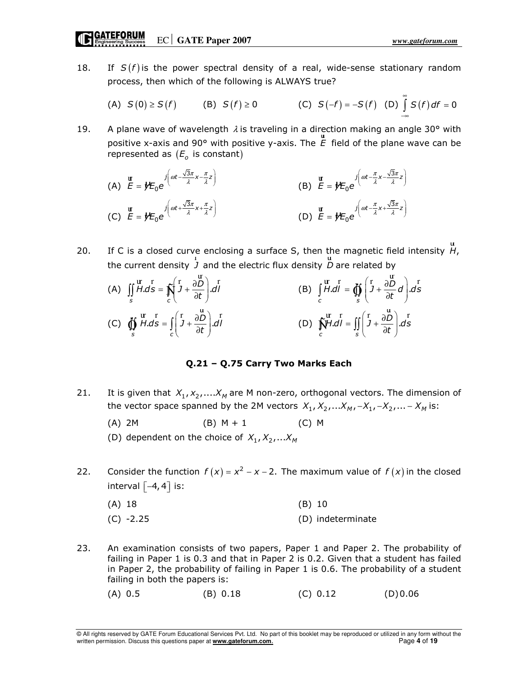18. If  $S(f)$  is the power spectral density of a real, wide-sense stationary random process, then which of the following is ALWAYS true?

(A) 
$$
S(0) \ge S(f)
$$
 (B)  $S(f) \ge 0$  (C)  $S(-f) = -S(f)$  (D)  $\int_{-\infty}^{\infty} S(f) df = 0$ 

19. A plane wave of wavelength  $\lambda$  is traveling in a direction making an angle 30° with positive x-axis and 90° with positive y-axis. The E ur field of the plane wave can be represented as  $(E_o)$  is constant)

(A) 
$$
\mathbf{E} = \mathbf{y} \mathbf{E}_0 e^{-j\left(\omega t - \frac{\sqrt{3}\pi}{\lambda} x - \frac{\pi}{\lambda} z\right)}
$$
  
\n(B)  $\mathbf{E} = \mathbf{y} \mathbf{E}_0 e^{-j\left(\omega t - \frac{\pi}{\lambda} x - \frac{\sqrt{3}\pi}{\lambda} z\right)}$   
\n(C)  $\mathbf{E} = \mathbf{y} \mathbf{E}_0 e^{-j\left(\omega t + \frac{\sqrt{3}\pi}{\lambda} x + \frac{\pi}{\lambda} z\right)}$   
\n(D)  $\mathbf{E} = \mathbf{y} \mathbf{E}_0 e^{-j\left(\omega t - \frac{\pi}{\lambda} x + \frac{\sqrt{3}\pi}{\lambda} z\right)}$ 

20. If C is a closed curve enclosing a surface S, then the magnetic field intensity  $H$ , ur the current density J r and the electric flux density D u are related by

(A) 
$$
\iint_{S} \frac{d\mathbf{r}}{H \cdot d\mathbf{s}} = \iint_{C} \left( \mathbf{r} + \frac{\partial \mathbf{r}}{\partial t} \right) d\mathbf{r}
$$
  
\n(B) 
$$
\int_{C} \mathbf{r} \cdot d\mathbf{r} = \iint_{S} \left( \mathbf{r} + \frac{\partial \mathbf{r}}{\partial \mathbf{r}} \right) d\mathbf{r}
$$
  
\n(C) 
$$
\oint_{S} \frac{d\mathbf{r}}{H \cdot d\mathbf{s}} = \int_{C} \left( \mathbf{r} + \frac{\partial \mathbf{r}}{\partial \mathbf{r}} \right) d\mathbf{r}
$$
  
\n(D) 
$$
\iint_{C} \mathbf{r} \cdot d\mathbf{r} = \iint_{S} \left( \mathbf{r} + \frac{\partial \mathbf{r}}{\partial \mathbf{r}} \right) d\mathbf{s}
$$

# Q.21 – Q.75 Carry Two Marks Each

- 21. It is given that  $X_1, X_2, \ldots, X_M$  are M non-zero, orthogonal vectors. The dimension of the vector space spanned by the 2M vectors  $X_1, X_2, ... X_M, -X_1, -X_2, ... - X_M$  is:
	- (A) 2M (B) M + 1 (C) M

(D) dependent on the choice of  $X_1, X_2, ... X_M$ 

22. Consider the function  $f(x) = x^2 - x - 2$ . The maximum value of  $f(x)$  in the closed interval  $[-4, 4]$  is:

| $(A)$ 18    | $(B)$ 10          |
|-------------|-------------------|
| $(C) -2.25$ | (D) indeterminate |

23. An examination consists of two papers, Paper 1 and Paper 2. The probability of failing in Paper 1 is 0.3 and that in Paper 2 is 0.2. Given that a student has failed in Paper 2, the probability of failing in Paper 1 is 0.6. The probability of a student failing in both the papers is:

```
 (A) 0.5 (B) 0.18 (C) 0.12 (D) 0.06
```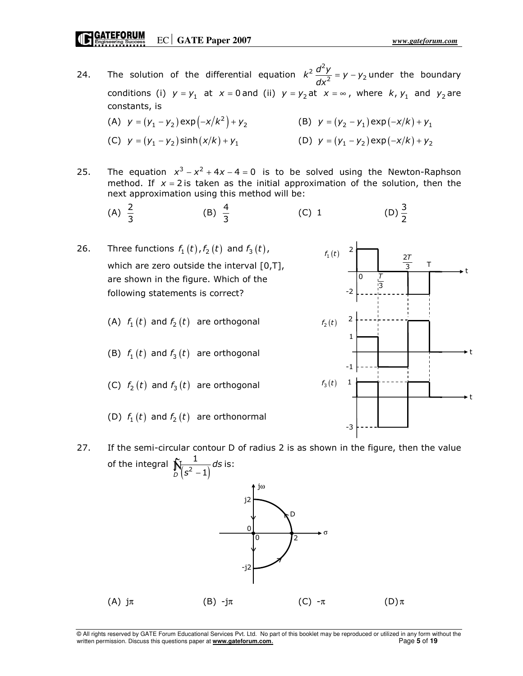- 24. The solution of the differential equation  $k^2 \frac{d^2y}{dx^2} = y - y_2$ dx  $= y - y<sub>2</sub>$  under the boundary conditions (i)  $y = y_1$  at  $x = 0$  and (ii)  $y = y_2$  at  $x = \infty$ , where  $k$ ,  $y_1$  and  $y_2$  are constants, is (A)  $y = (y_1 - y_2) \exp(-x/k^2) + y_2$  (B)  $y = (y_2 - y_1) \exp(-x/k) + y_1$ (C)  $y = (y_1 - y_2) \sinh(x/k) + y_1$  (D)  $y = (y_1 - y_2) \exp(-x/k) + y_2$
- 25. The equation  $x^3 x^2 + 4x 4 = 0$  is to be solved using the Newton-Raphson method. If  $x = 2$  is taken as the initial approximation of the solution, then the next approximation using this method will be:
- (A)  $\frac{2}{3}$ (B)  $\frac{4}{3}$ (C) 1 (D)  $\frac{3}{2}$
- 26. Three functions  $f_1(t)$ ,  $f_2(t)$  and  $f_3(t)$ , which are zero outside the interval [0,T], are shown in the figure. Which of the following statements is correct? (A)  $f_1(t)$  and  $f_2(t)$  are orthogonal (B)  $f_1(t)$  and  $f_3(t)$  are orthogonal 2 -2 1 2  $f_1(t)$  $f_2 ( t )$ 0
	- (C)  $f_2(t)$  and  $f_3(t)$  are orthogonal
	- (D)  $f_1(t)$  and  $f_2(t)$  are orthonormal





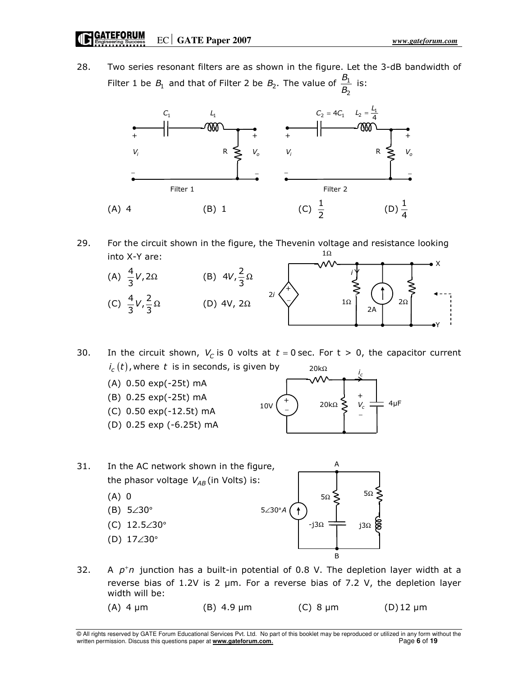Engineering Success **EC** GATE Paper 2007

28. Two series resonant filters are as shown in the figure. Let the 3-dB bandwidth of Filter 1 be  $B_1$  and that of Filter 2 be  $B_2$ . The value of  $\frac{B_1}{B_2}$ B  $\frac{S_1}{B_2}$  is:



29. For the circuit shown in the figure, the Thevenin voltage and resistance looking into X-Y are: 1Ω



30. In the circuit shown,  $V_C$  is 0 volts at  $t = 0$  sec. For  $t > 0$ , the capacitor current  $i_c \left( t \right)$ , where  $\,t\,$  is in seconds, is given by 20kΩ

- (A) 0.50 exp(-25t) mA (B) 0.25 exp(-25t) mA (C) 0.50 exp(-12.5t) mA +
- (D) 0.25 exp (-6.25t) mA



- 31. In the AC network shown in the figure, the phasor voltage  $V_{AB}$  (in Volts) is: (A) 0 (B)  $5\angle 30^\circ$  $5\Omega \xi$  5 $\Omega$  $5\angle 30^\circ A$ A
	- (C)  $12.5∠30°$
	- (D)  $17∠30°$



32. A  $p^{\dagger}n$  junction has a built-in potential of 0.8 V. The depletion layer width at a reverse bias of 1.2V is 2 µm. For a reverse bias of 7.2 V, the depletion layer width will be:

(A)  $4 \mu$ m (B)  $4.9 \mu$ m (C)  $8 \mu$ m (D) 12  $\mu$ m

© All rights reserved by GATE Forum Educational Services Pvt. Ltd. No part of this booklet may be reproduced or utilized in any form without the written permission. Discuss this questions paper at **www.gateforum.com**. Page **6** of **19**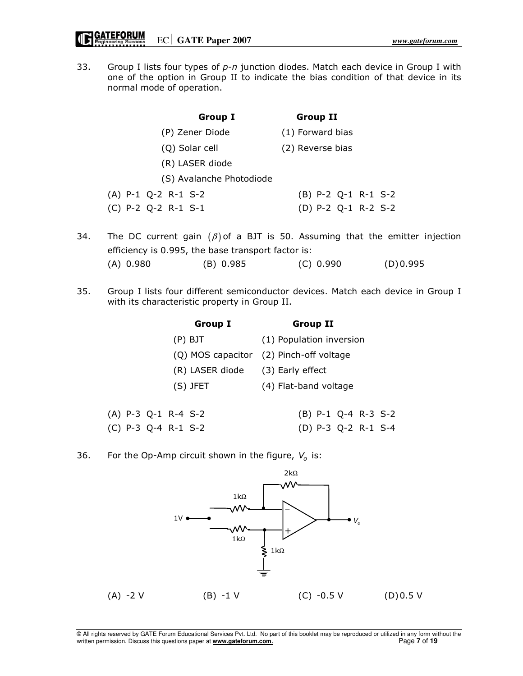33. Group I lists four types of  $p$ -n junction diodes. Match each device in Group I with one of the option in Group II to indicate the bias condition of that device in its normal mode of operation.

| <b>Group I</b>           | <b>Group II</b>       |
|--------------------------|-----------------------|
| (P) Zener Diode          | (1) Forward bias      |
| (Q) Solar cell           | (2) Reverse bias      |
| (R) LASER diode          |                       |
| (S) Avalanche Photodiode |                       |
| $(A)$ P-1 Q-2 R-1 S-2    | $(B)$ P-2 Q-1 R-1 S-2 |
| $(C)$ P-2 Q-2 R-1 S-1    | (D) P-2 Q-1 R-2 S-2   |
|                          |                       |

- 34. The DC current gain  $(\beta)$  of a BJT is 50. Assuming that the emitter injection efficiency is 0.995, the base transport factor is: (A) 0.980 (B) 0.985 (C) 0.990 (D) 0.995
- 35. Group I lists four different semiconductor devices. Match each device in Group I with its characteristic property in Group II.

|                       | <b>Group I</b>                   | <b>Group II</b>                         |
|-----------------------|----------------------------------|-----------------------------------------|
|                       | $(P)$ BJT                        | (1) Population inversion                |
|                       |                                  | (Q) MOS capacitor (2) Pinch-off voltage |
|                       | (R) LASER diode (3) Early effect |                                         |
|                       | $(S)$ JFET                       | (4) Flat-band voltage                   |
|                       |                                  |                                         |
| $(A)$ P-3 Q-1 R-4 S-2 |                                  | $(B)$ P-1 Q-4 R-3 S-2                   |
| $(C)$ P-3 Q-4 R-1 S-2 |                                  | (D) P-3 Q-2 R-1 S-4                     |

36. For the Op-Amp circuit shown in the figure,  $V_o$  is:

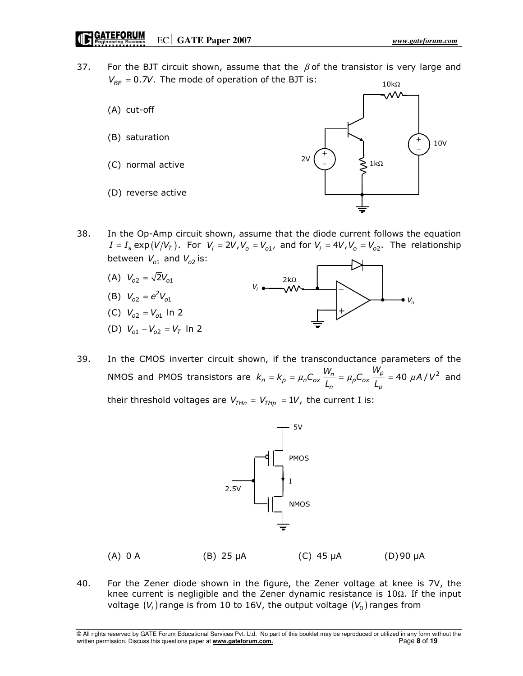37. For the BJT circuit shown, assume that the  $\beta$  of the transistor is very large and  $V_{BF} = 0.7V$ . The mode of operation of the BJT is:  $10k\Omega$ 



38. In the Op-Amp circuit shown, assume that the diode current follows the equation  $I = I_s \exp(V/V_T)$ . For  $V_i = 2V$ ,  $V_o = V_{o1}$ , and for  $V_i = 4V$ ,  $V_o = V_{o2}$ . The relationship between  $V_{o1}$  and  $V_{o2}$  is:



39. In the CMOS inverter circuit shown, if the transconductance parameters of the NMOS and PMOS transistors are  $k_n = k_p = \mu_n C_{ox} \frac{W_n}{L_n} = \mu_p C_{ox} \frac{W_p}{L_p} = 40 \mu A/V^2$  $k_n = k_p = \mu_n C_{ox} \frac{W_n}{L_n} = \mu_p C_{ox} \frac{W_p}{L_n} = 40 \mu A/V^2$  and their threshold voltages are  $V_{THn} = |V_{THp}| = 1V$ , the current I is:



| $(A)$ 0 A | $(B)$ 25 $\mu$ A | (C) $45 \mu A$ | (D)90 µA |
|-----------|------------------|----------------|----------|
|           |                  |                |          |

40. For the Zener diode shown in the figure, the Zener voltage at knee is 7V, the knee current is negligible and the Zener dynamic resistance is 10Ω. If the input voltage  $(V_i)$  range is from 10 to 16V, the output voltage  $(V_0)$  ranges from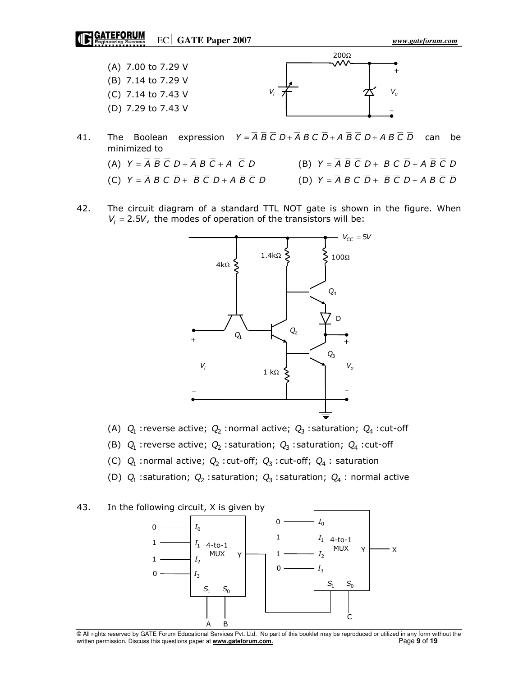GATEFORUM Engineering Success CC GATE Paper 2007



- 41. The Boolean expression  $Y = \overline{A} \ \overline{B} \ \overline{C} \ D + \overline{A} \ B \ C \ \overline{D} + A \ \overline{B} \ \overline{C} \ D + A \ B \ \overline{C} \ \overline{D}$  can be minimized to
	- (A)  $Y = \overline{A} \overline{B} \overline{C} D + \overline{A} B \overline{C} + A \overline{C} D$ <br>(B)  $Y = \overline{A} \overline{B} \overline{C} D + B C \overline{D} + A \overline{B} \overline{C} D$
	- (C)  $Y = \overline{A} B C \overline{D} + \overline{B} \overline{C} D + A \overline{B} \overline{C} D$ <br>
	(D)  $Y = \overline{A} B C \overline{D} + \overline{B} \overline{C} D + A B \overline{C} \overline{D}$
- 42. The circuit diagram of a standard TTL NOT gate is shown in the figure. When  $V_i = 2.5V$ , the modes of operation of the transistors will be:



- (A)  $Q_1$  : reverse active;  $Q_2$  : normal active;  $Q_3$  : saturation;  $Q_4$  : cut-off
- (B)  $Q_1$  : reverse active;  $Q_2$  : saturation;  $Q_3$  : saturation;  $Q_4$  : cut-off
- (C)  $Q_1$  :normal active;  $Q_2$  :cut-off;  $Q_3$  :cut-off;  $Q_4$  : saturation
- (D)  $Q_1$  :saturation;  $Q_2$  :saturation;  $Q_3$  :saturation;  $Q_4$  : normal active

### 43. In the following circuit, X is given by



© All rights reserved by GATE Forum Educational Services Pvt. Ltd. No part of this booklet may be reproduced or utilized in any form without the written permission. Discuss this questions paper at **www.gateforum.com.** Page 9 of 19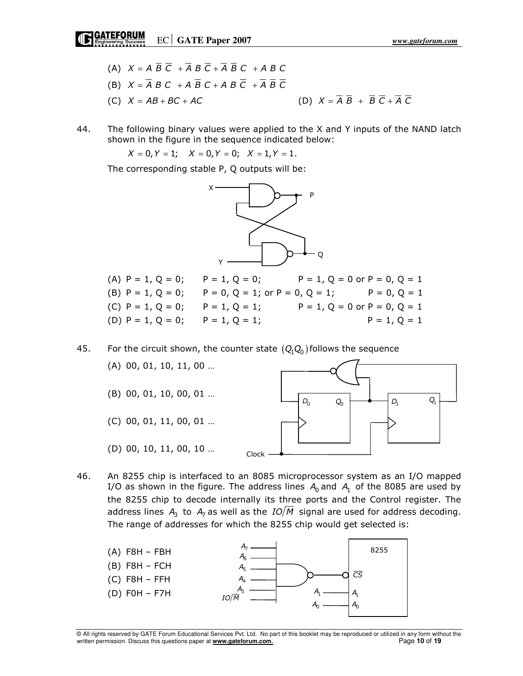- (A)  $X = A \overline{B} \overline{C} + \overline{A} B \overline{C} + \overline{A} \overline{B} C + A B C$ (B)  $X = \overline{A} B C + A \overline{B} C + A B \overline{C} + \overline{A} \overline{B} \overline{C}$ (C)  $X = AB + BC + AC$  (D)  $X = \overline{A} \ \overline{B} + \overline{B} \ \overline{C} + \overline{A} \ \overline{C}$
- 44. The following binary values were applied to the X and Y inputs of the NAND latch shown in the figure in the sequence indicated below:

 $X = 0, Y = 1;$   $X = 0, Y = 0;$   $X = 1, Y = 1.$ 

The corresponding stable P, Q outputs will be:



| (A) $P = 1$ , $Q = 0$ ; $P = 1$ , $Q = 0$ ;                                          |  | $P = 1, Q = 0$ or $P = 0, Q = 1$ |
|--------------------------------------------------------------------------------------|--|----------------------------------|
| (B) $P = 1$ , $Q = 0$ ; $P = 0$ , $Q = 1$ ; or $P = 0$ , $Q = 1$ ; $P = 0$ , $Q = 1$ |  |                                  |
| (C) $P = 1$ , $Q = 0$ ; $P = 1$ , $Q = 1$ ;                                          |  | $P = 1, Q = 0$ or $P = 0, Q = 1$ |
| (D) $P = 1$ , $Q = 0$ ; $P = 1$ , $Q = 1$ ;                                          |  | $P = 1, Q = 1$                   |

45. For the circuit shown, the counter state  $(Q_1 Q_0)$  follows the sequence



46. An 8255 chip is interfaced to an 8085 microprocessor system as an I/O mapped I/O as shown in the figure. The address lines  $A_0$  and  $A_1$  of the 8085 are used by the 8255 chip to decode internally its three ports and the Control register. The address lines  $A_3$  to  $A_7$  as well as the  $IO/M$  signal are used for address decoding. The range of addresses for which the 8255 chip would get selected is:



© All rights reserved by GATE Forum Educational Services Pvt. Ltd. No part of this booklet may be reproduced or utilized in any form without the written permission. Discuss this questions paper at **www.gateforum.com.** Page 10 of 19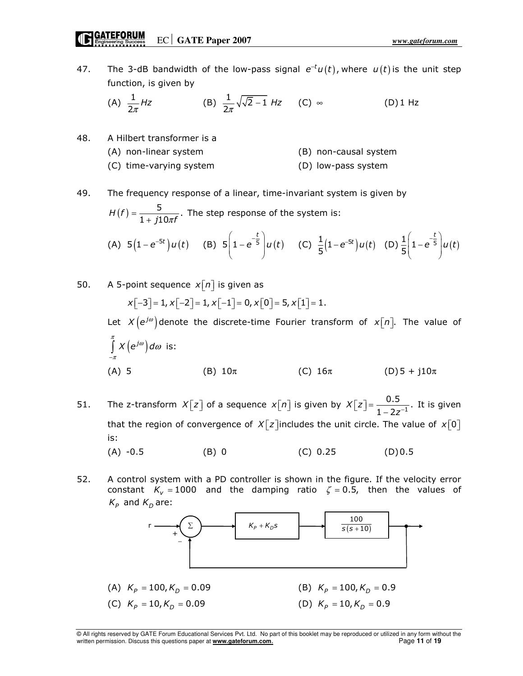47. The 3-dB bandwidth of the low-pass signal  $e^{-t}u(t)$ , where  $u(t)$  is the unit step function, is given by

(A) 
$$
\frac{1}{2\pi}
$$
 Hz (B)  $\frac{1}{2\pi}\sqrt{\sqrt{2}-1}$  Hz (C)  $\infty$  (D) 1 Hz

48. A Hilbert transformer is a (A) non-linear system (B) non-causal system (C) time-varying system (D) low-pass system

### 49. The frequency response of a linear, time-invariant system is given by

$$
H(f) = \frac{5}{1 + j10\pi f}.
$$
 The step response of the system is:  
(A)  $5(1 - e^{-5t})u(t)$  (B)  $5(1 - e^{-5t})u(t)$  (C)  $\frac{1}{5}(1 - e^{-5t})u(t)$  (D)  $\frac{1}{5}(1 - e^{-5t})u(t)$ 

50. A 5-point sequence 
$$
x[n]
$$
 is given as  
\n
$$
x[-3] = 1, x[-2] = 1, x[-1] = 0, x[0] = 5, x[1] = 1.
$$
\nLet  $X(e^{j\omega})$  denote the discrete-time Fourier transform of  $x[n]$ . The value of  
\n
$$
\int_{-\pi}^{\pi} X(e^{j\omega}) d\omega
$$
 is:  
\n(A) 5 (B)  $10\pi$  (C)  $16\pi$  (D)  $5 + j10\pi$ 

- 51. The z-transform  $X[z]$  of a sequence  $x[n]$  is given by  $X[z] = \frac{0.5}{1 \cdot 2z^{-1}}$ .  $1 - 2z$  $X\vert z\vert$  $[z] = \frac{0.5}{1 - 2z^{-}}$  It is given that the region of convergence of  $X[z]$  includes the unit circle. The value of  $x[0]$ is: (A)  $-0.5$  (B) 0 (C) 0.25 (D) 0.5
- 52. A control system with a PD controller is shown in the figure. If the velocity error constant  $K_v = 1000$  and the damping ratio  $\zeta = 0.5$ , then the values of  $K_p$  and  $K_p$  are:



<sup>©</sup> All rights reserved by GATE Forum Educational Services Pvt. Ltd. No part of this booklet may be reproduced or utilized in any form without the written permission. Discuss this questions paper at **www.gateforum.com.** Page 11 of 19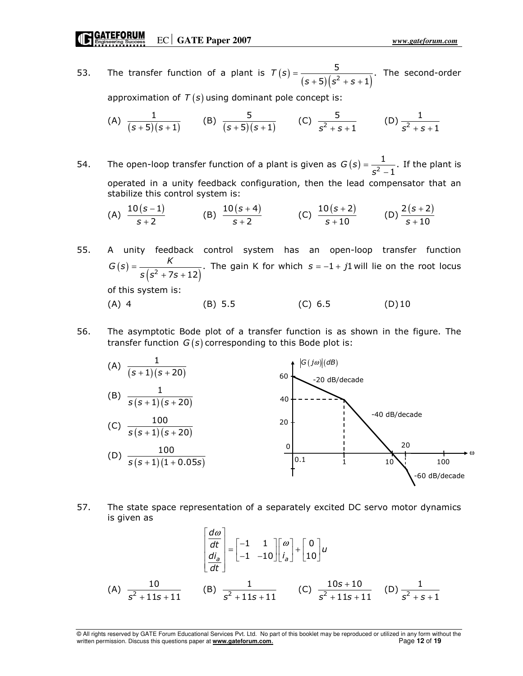53. The transfer function of a plant is  $T(s) = \frac{5}{(s+5)(s^2+s+1)}$  $\frac{5}{2}$ .  $5)(s^2 + s + 1)$  $T(s)$  $(s + 5)(s^2 + s +$ =  $+ 5)(s^2 + s +$ The second-order

approximation of  $T(s)$  using dominant pole concept is:

(A) 
$$
\frac{1}{(s+5)(s+1)}
$$
 (B)  $\frac{5}{(s+5)(s+1)}$  (C)  $\frac{5}{s^2+s+1}$  (D)  $\frac{1}{s^2+s+1}$ 

54. The open-loop transfer function of a plant is given as  $G(s) = \frac{1}{c^2 - 1}$ . 1  $G(s)$ s = − If the plant is operated in a unity feedback configuration, then the lead compensator that an stabilize this control system is:

(A) 
$$
\frac{10(s-1)}{s+2}
$$
 (B)  $\frac{10(s+4)}{s+2}$  (C)  $\frac{10(s+2)}{s+10}$  (D)  $\frac{2(s+2)}{s+10}$ 

55. A unity feedback control system has an open-loop transfer function  $(s) = \frac{\kappa}{s (s^2 + 7s + 12)}.$ 7s + 12  $G(s) = \frac{K}{\sqrt{2}}$  $s ( s^2 + 7s -$ =  $+7s +$ The gain K for which  $s = -1 + j1$  will lie on the root locus

of this system is:

(A) 4 (B) 5.5 (C) 6.5 (D) 10

56. The asymptotic Bode plot of a transfer function is as shown in the figure. The transfer function  $G(s)$  corresponding to this Bode plot is:



57. The state space representation of a separately excited DC servo motor dynamics is given as

$$
\begin{bmatrix} \frac{d\omega}{dt} \\ \frac{di_a}{dt} \end{bmatrix} = \begin{bmatrix} -1 & 1 \\ -1 & -10 \end{bmatrix} \begin{bmatrix} \omega \\ i_a \end{bmatrix} + \begin{bmatrix} 0 \\ 10 \end{bmatrix} u
$$
\n(A)  $\frac{10}{s^2 + 11s + 11}$  (B)  $\frac{1}{s^2 + 11s + 11}$  (C)  $\frac{10s + 10}{s^2 + 11s + 11}$  (D)  $\frac{1}{s^2 + s + 1}$ 

<sup>©</sup> All rights reserved by GATE Forum Educational Services Pvt. Ltd. No part of this booklet may be reproduced or utilized in any form without the written permission. Discuss this questions paper at **www.gateforum.com.** Page 12 of 19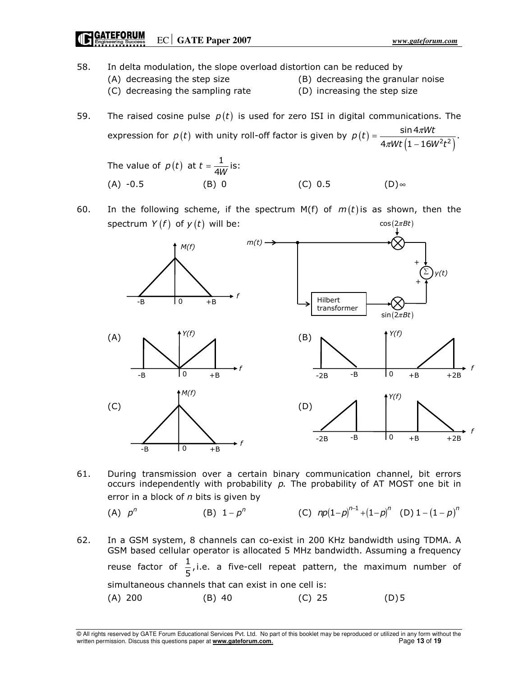# EC **GATE Paper 2007** *www.gateforum.com*

- 58. In delta modulation, the slope overload distortion can be reduced by (A) decreasing the step size (B) decreasing the granular noise (C) decreasing the sampling rate (D) increasing the step size
- 59. The raised cosine pulse  $p(t)$  is used for zero ISI in digital communications. The expression for  $p(t)$  with unity roll-off factor is given by  $p(t) = \frac{\sin 4\pi Wt}{4\pi Wt \left(1 - 16W^2t^2\right)}$ sin 4 $\pi$ .  $4\pi Wt$  (1 – 16W<sup>2</sup>t<sup>2</sup>)

The value of 
$$
p(t)
$$
 at  $t = \frac{1}{4W}$  is:  
\n(A) -0.5 (B) 0 (C) 0.5 (D)~ (D)~

60. In the following scheme, if the spectrum  $M(f)$  of  $m(t)$  is as shown, then the spectrum  $Y(f)$  of  $y(t)$  will be:  $cos(2\pi Bt)$ 



61. During transmission over a certain binary communication channel, bit errors occurs independently with probability  $p$ . The probability of AT MOST one bit in error in a block of  $n$  bits is given by

(A) 
$$
p^n
$$
 (B)  $1-p^n$  (C)  $np(1-p)^{n-1}+(1-p)^n$  (D)  $1-(1-p)^n$ 

−

62. In a GSM system, 8 channels can co-exist in 200 KHz bandwidth using TDMA. A GSM based cellular operator is allocated 5 MHz bandwidth. Assuming a frequency reuse factor of  $\frac{1}{5}$ , i.e. a five-cell repeat pattern, the maximum number of simultaneous channels that can exist in one cell is: (A) 200 (B) 40 (C) 25 (D) 5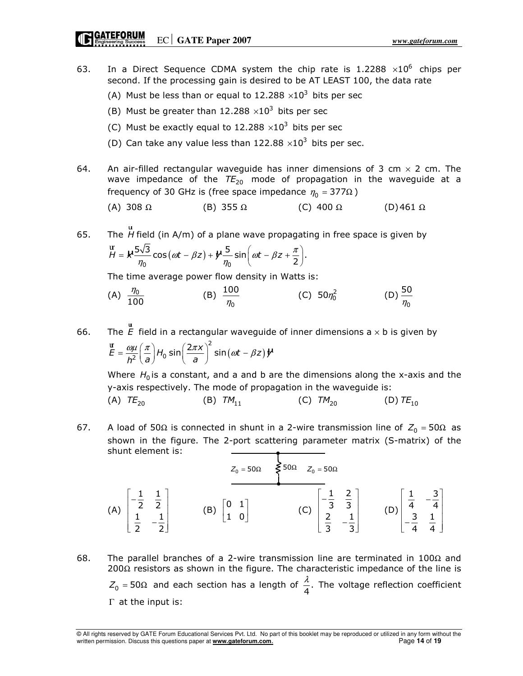# GATEFORUM Engineering Success CC GATE Paper 2007

- 63. In a Direct Sequence CDMA system the chip rate is 1.2288  $\times 10^6$  chips per second. If the processing gain is desired to be AT LEAST 100, the data rate
- (A) Must be less than or equal to 12.288  $\times 10^3$  bits per sec
- (B) Must be greater than 12.288  $\times 10^3$  bits per sec
- (C) Must be exactly equal to 12.288  $\times 10^3$  bits per sec
- (D) Can take any value less than 122.88  $\times 10^3$  bits per sec.
- 64. An air-filled rectangular waveguide has inner dimensions of 3 cm  $\times$  2 cm. The wave impedance of the  $TE_{20}$  mode of propagation in the waveguide at a frequency of 30 GHz is (free space impedance  $\eta_0 = 377 \Omega$ )

(A) 308 
$$
\Omega
$$
 (B) 355  $\Omega$  (C) 400  $\Omega$  (D) 461  $\Omega$ 

65. The H ur field (in A/m) of a plane wave propagating in free space is given by  $x \frac{5\sqrt{3}}{2} \cos(\omega t - \beta z) + y$  $\frac{1}{0}$  0  $H = k \frac{5\sqrt{3}}{\eta_0} \cos(\omega t - \beta z) + k \frac{5}{\eta_0} \sin(\omega t - \beta z + \frac{\pi}{2}).$  $=$   $\kappa \frac{5\sqrt{3}}{\eta_0} \cos(\omega t - \beta z) + \psi \frac{5}{\eta_0} \sin(\omega t - \beta z + \frac{\pi}{2})$ ur

The time average power flow density in Watts is:

(A) 
$$
\frac{\eta_0}{100}
$$
 (B)  $\frac{100}{\eta_0}$  (C)  $50\eta_0^2$  (D)  $\frac{50}{\eta_0}$ 

66. The *E* ur field in a rectangular waveguide of inner dimensions  $a \times b$  is given by  $\frac{2}{\pi} \sin(\omega t - \beta z)$  y<sup>1</sup>  $\overline{2}$   $\left(\frac{1}{2}\right)$   $\frac{1}{2}$   $\left(\frac{1}{2}\right)$  $E = \frac{\omega \mu}{h^2} \left(\frac{\pi}{a}\right) H_0 \sin \left(\frac{2\pi x}{a}\right)^2 \sin \left(\omega t - \beta z\right) \mathcal{V}$  $=\frac{\omega\mu}{h^2}\left(\frac{\pi}{a}\right)H_0\sin\left(\frac{2\pi x}{a}\right)^2\sin(\omega t-\beta).$ ur

Where  $H_0$  is a constant, and a and b are the dimensions along the x-axis and the y-axis respectively. The mode of propagation in the waveguide is:

(A)  $TE_{20}$  (B)  $TM_{11}$  (C)  $TM_{20}$  (D)  $TE_{10}$ 

67. A load of 50Ω is connected in shunt in a 2-wire transmission line of  $Z_0 = 50\Omega$  as shown in the figure. The 2-port scattering parameter matrix (S-matrix) of the shunt element is:

 (A) 1 1 2 2 1 1 2 2  $\begin{bmatrix} -\frac{1}{2} & \frac{1}{2} \end{bmatrix}$  $\begin{bmatrix} 2 & 2 \\ 1 & 2 \end{bmatrix}$  $\begin{bmatrix} \frac{1}{2} & -\frac{1}{2} \end{bmatrix}$ (B)  $\begin{vmatrix} 0 & 1 \\ 1 & 0 \end{vmatrix}$  $\begin{bmatrix} 0 & 1 \end{bmatrix}$  $\begin{bmatrix} 1 & 0 \end{bmatrix}$  (C) 1 2 3 3 2 1 3 3  $\begin{bmatrix} -\frac{1}{2} & \frac{2}{2} \end{bmatrix}$  $\begin{bmatrix} 0 & 0 \\ 0 & 0 \end{bmatrix}$  $\left[\begin{array}{cc} 2 & -\frac{1}{3} \end{array}\right]$  (D) 1 3 4 4 3 1 4 4  $\left[\begin{array}{cc} 1 & -3 \\ 4 & -4 \end{array}\right]$  $\begin{bmatrix} 4 & 4 \end{bmatrix}$  $\begin{bmatrix} -3 & 1 \\ 4 & 4 \end{bmatrix}$  $Z_0 = 50\Omega$   $\lessgtr 50\Omega$   $Z_0 = 50\Omega$ 

68. The parallel branches of a 2-wire transmission line are terminated in 100 $\Omega$  and 200 $\Omega$  resistors as shown in the figure. The characteristic impedance of the line is  $Z_0$  = 50Ω and each section has a length of  $\frac{\pi}{4}$ .  $\frac{\lambda}{\lambda}$ . The voltage reflection coefficient Γ at the input is:

<sup>©</sup> All rights reserved by GATE Forum Educational Services Pvt. Ltd. No part of this booklet may be reproduced or utilized in any form without the written permission. Discuss this questions paper at **www.gateforum.com.** Page 14 of 19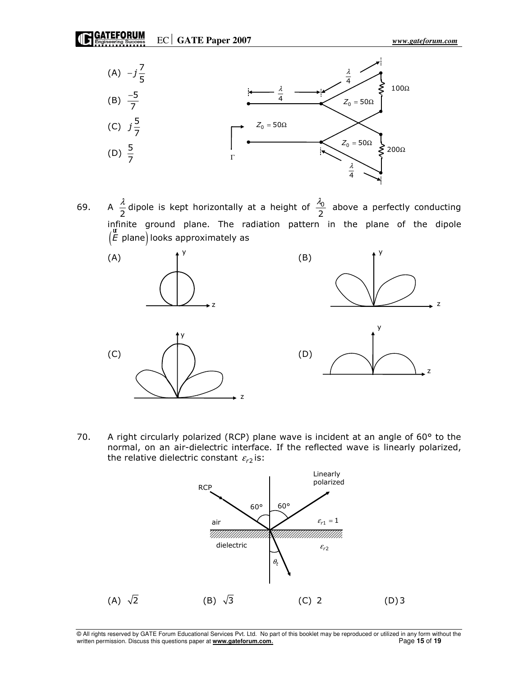EC **GATE Paper 2007** *www.gateforum.com* 



69. 2  $\frac{\lambda}{2}$  dipole is kept horizontally at a height of  $\frac{\lambda_0}{2}$  $\frac{\lambda_0}{2}$  above a perfectly conducting infinite ground plane. The radiation pattern in the plane of the dipole  $(\mathit{E}$  plane) l ur looks approximately as



70. A right circularly polarized (RCP) plane wave is incident at an angle of 60° to the normal, on an air-dielectric interface. If the reflected wave is linearly polarized, the relative dielectric constant  $\varepsilon_{r2}^{}$  is:



© All rights reserved by GATE Forum Educational Services Pvt. Ltd. No part of this booklet may be reproduced or utilized in any form without the written permission. Discuss this questions paper at **www.gateforum.com.** Page 15 of 19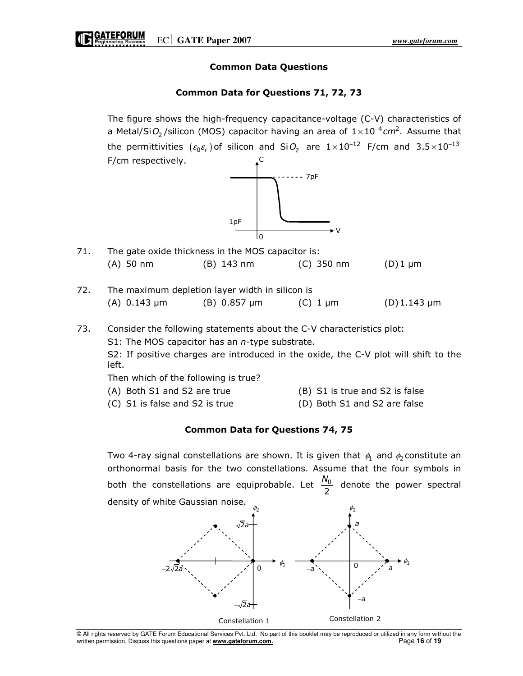## Common Data Questions

## Common Data for Questions 71, 72, 73

 The figure shows the high-frequency capacitance-voltage (C-V) characteristics of a Metal/Si $\mathit{O}_{2}$ /silicon (MOS) capacitor having an area of  $1\!\times\!10^{-4}$ cm<sup>2</sup>. Assume that the permittivities  $(\varepsilon_0 \varepsilon_r)$  of silicon and Si $O_2$  are  $1 \times 10^{-12}$  F/cm and 3.5 $\times 10^{-13}$  F/cm respectively. C



V

- 71. The gate oxide thickness in the MOS capacitor is: (A) 50 nm (B) 143 nm (C) 350 nm (D) 1 µm
- 72. The maximum depletion layer width in silicon is (A)  $0.143 \mu$ m (B)  $0.857 \mu$ m (C) 1  $\mu$ m (D) 1.143  $\mu$ m

## 73. Consider the following statements about the C-V characteristics plot:

S1: The MOS capacitor has an  $n$ -type substrate.

S2: If positive charges are introduced in the oxide, the C-V plot will shift to the left.

Then which of the following is true?

- (A) Both S1 and S2 are true (B) S1 is true and S2 is false
	- (C) S1 is false and S2 is true (D) Both S1 and S2 are false

## Common Data for Questions 74, 75

Two 4-ray signal constellations are shown. It is given that  $\phi_1$  and  $\phi_2$  constitute an orthonormal basis for the two constellations. Assume that the four symbols in both the constellations are equiprobable. Let  $\frac{N_0}{2}$  $\frac{N_0}{2}$  denote the power spectral density of white Gaussian noise.



<sup>©</sup> All rights reserved by GATE Forum Educational Services Pvt. Ltd. No part of this booklet may be reproduced or utilized in any form without the written permission. Discuss this questions paper at **www.gateforum.com.** Page 16 of 19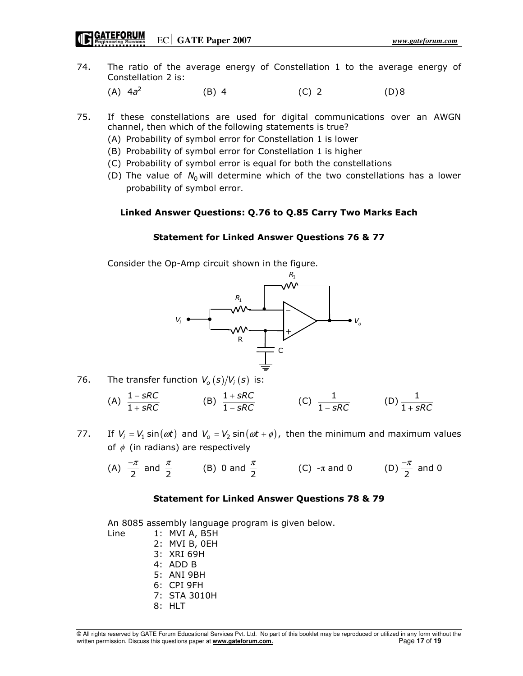# **CATEFORUM**<br> **Engineering Success** EC GATE Paper 2007

- 74. The ratio of the average energy of Constellation 1 to the average energy of Constellation 2 is:
- (A)  $4a^2$  (B) 4 (C) 2 (D) 8
- 75. If these constellations are used for digital communications over an AWGN channel, then which of the following statements is true?
	- (A) Probability of symbol error for Constellation 1 is lower
	- (B) Probability of symbol error for Constellation 1 is higher
	- (C) Probability of symbol error is equal for both the constellations
	- (D) The value of  $N_0$  will determine which of the two constellations has a lower probability of symbol error.

### Linked Answer Questions: Q.76 to Q.85 Carry Two Marks Each

### Statement for Linked Answer Questions 76 & 77

Consider the Op-Amp circuit shown in the figure.



- 76. The transfer function  $V_o (s) / V_i (s)$  is:
- (A)  $\frac{1}{1}$ sRC sRC −  $\frac{-SRC}{+SRC}$  (B)  $\frac{1}{1}$ sRC sRC +  $\frac{+ \textit{SRC}}{- \textit{SRC}}$  (C)  $\frac{1}{1-\textit{SRC}}$  (D)  $\frac{1}{1+\textit{SRC}}$
- 77. If  $V_i = V_1 \sin(\omega t)$  and  $V_o = V_2 \sin(\omega t + \phi)$ , then the minimum and maximum values of  $\phi$  (in radians) are respectively

(A) 
$$
\frac{-\pi}{2}
$$
 and  $\frac{\pi}{2}$  (B) 0 and  $\frac{\pi}{2}$  (C)  $-\pi$  and 0 (D)  $\frac{-\pi}{2}$  and 0

### Statement for Linked Answer Questions 78 & 79

An 8085 assembly language program is given below.

 Line 1: MVI A, B5H 2: MVI B, 0EH 3: XRI 69H 4: ADD B 5: ANI 9BH 6: CPI 9FH 7: STA 3010H 8: HLT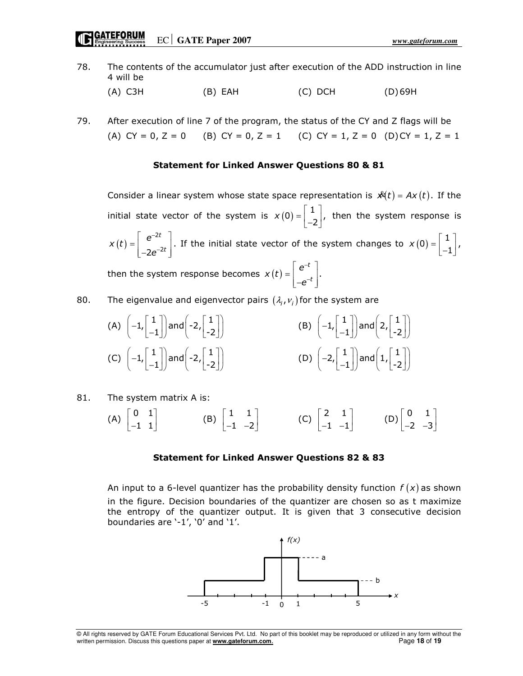# Engineering Success **EC** GATE Paper 2007

- 78. The contents of the accumulator just after execution of the ADD instruction in line 4 will be
	- (A) C3H (B) EAH (C) DCH (D) 69H
- 79. After execution of line 7 of the program, the status of the CY and Z flags will be (A) CY = 0, Z = 0 (B) CY = 0, Z = 1 (C) CY = 1, Z = 0 (D) CY = 1, Z = 1

### Statement for Linked Answer Questions 80 & 81

Consider a linear system whose state space representation is  $\mathcal{A}(t) = Ax(t)$ . If the initial state vector of the system is  $x(0) = \begin{bmatrix} 1 \\ -2 \end{bmatrix}$ , then the system response is  $(t) = \begin{vmatrix} e^{-2} \end{vmatrix}$  $2e^{-2}$ t t  $x(t) = \begin{vmatrix} e \\ 1 \end{vmatrix}$ e − −  $\left[\begin{array}{cc}e^{-2t}\end{array}\right]$  $=$   $\begin{bmatrix} 1 & 1 \\ 1 & 1 \end{bmatrix}$  $\lfloor -2e^{-2t} \rfloor$ . If the initial state vector of the system changes to  $x(0) = \begin{bmatrix} 1 \\ -1 \end{bmatrix}$ , then the system response becomes  $x(t) = \begin{bmatrix} e^{-t} \end{bmatrix}$ . t  $x(t) = \begin{vmatrix} e \\ 1 \end{vmatrix}$ e − −  $\lceil e^{-t} \rceil$  $=$   $\begin{bmatrix} 1 \\ 1 \end{bmatrix}$  $\lfloor -e^{-t} \rfloor$ 

80. The eigenvalue and eigenvector pairs  $(\lambda_i, v_i)$  for the system are

(A) 
$$
\left(-1, \begin{bmatrix} 1 \\ -1 \end{bmatrix}\right)
$$
 and  $\left(-2, \begin{bmatrix} 1 \\ -2 \end{bmatrix}\right)$   
\n(B)  $\left(-1, \begin{bmatrix} 1 \\ -1 \end{bmatrix}\right)$  and  $\left(2, \begin{bmatrix} 1 \\ -2 \end{bmatrix}\right)$   
\n(C)  $\left(-1, \begin{bmatrix} 1 \\ -1 \end{bmatrix}\right)$  and  $\left(-2, \begin{bmatrix} 1 \\ -2 \end{bmatrix}\right)$   
\n(D)  $\left(-2, \begin{bmatrix} 1 \\ -1 \end{bmatrix}\right)$  and  $\left(1, \begin{bmatrix} 1 \\ -2 \end{bmatrix}\right)$ 

81. The system matrix A is:

$$
\text{(A)} \begin{bmatrix} 0 & 1 \\ -1 & 1 \end{bmatrix} \qquad \qquad \text{(B)} \begin{bmatrix} 1 & 1 \\ -1 & -2 \end{bmatrix} \qquad \qquad \text{(C)} \begin{bmatrix} 2 & 1 \\ -1 & -1 \end{bmatrix} \qquad \qquad \text{(D)} \begin{bmatrix} 0 & 1 \\ -2 & -3 \end{bmatrix}
$$

#### Statement for Linked Answer Questions 82 & 83

An input to a 6-level quantizer has the probability density function  $f(x)$  as shown in the figure. Decision boundaries of the quantizer are chosen so as t maximize the entropy of the quantizer output. It is given that 3 consecutive decision boundaries are '-1', '0' and '1'.



<sup>©</sup> All rights reserved by GATE Forum Educational Services Pvt. Ltd. No part of this booklet may be reproduced or utilized in any form without the written permission. Discuss this questions paper at **www.gateforum.com.** Page 18 of 19